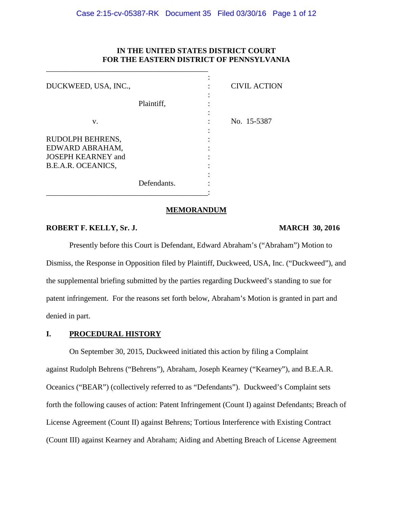# **IN THE UNITED STATES DISTRICT COURT FOR THE EASTERN DISTRICT OF PENNSYLVANIA**

| DUCKWEED, USA, INC.,                                                                   |             | <b>CIVIL ACTION</b> |
|----------------------------------------------------------------------------------------|-------------|---------------------|
|                                                                                        | Plaintiff,  |                     |
| V.                                                                                     |             | No. 15-5387         |
| RUDOLPH BEHRENS,<br>EDWARD ABRAHAM,<br><b>JOSEPH KEARNEY and</b><br>B.E.A.R. OCEANICS, |             |                     |
|                                                                                        | Defendants. |                     |

\_\_\_\_\_\_\_\_\_\_\_\_\_\_\_\_\_\_\_\_\_\_\_\_\_\_\_\_\_\_\_\_\_\_\_\_\_\_\_\_\_\_

#### **MEMORANDUM**

# **ROBERT F. KELLY, Sr. J. MARCH 30, 2016**

Presently before this Court is Defendant, Edward Abraham's ("Abraham") Motion to Dismiss, the Response in Opposition filed by Plaintiff, Duckweed, USA, Inc. ("Duckweed"), and the supplemental briefing submitted by the parties regarding Duckweed's standing to sue for patent infringement. For the reasons set forth below, Abraham's Motion is granted in part and denied in part.

#### **I. PROCEDURAL HISTORY**

On September 30, 2015, Duckweed initiated this action by filing a Complaint against Rudolph Behrens ("Behrens"), Abraham, Joseph Kearney ("Kearney"), and B.E.A.R. Oceanics ("BEAR") (collectively referred to as "Defendants"). Duckweed's Complaint sets forth the following causes of action: Patent Infringement (Count I) against Defendants; Breach of License Agreement (Count II) against Behrens; Tortious Interference with Existing Contract (Count III) against Kearney and Abraham; Aiding and Abetting Breach of License Agreement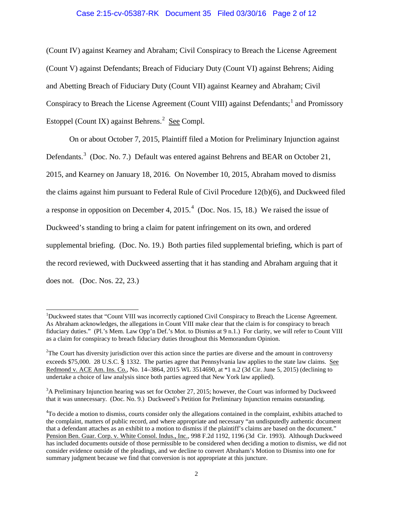# Case 2:15-cv-05387-RK Document 35 Filed 03/30/16 Page 2 of 12

(Count IV) against Kearney and Abraham; Civil Conspiracy to Breach the License Agreement (Count V) against Defendants; Breach of Fiduciary Duty (Count VI) against Behrens; Aiding and Abetting Breach of Fiduciary Duty (Count VII) against Kearney and Abraham; Civil Conspiracy to Breach the License Agreement (Count VIII) against Defendants;<sup>[1](#page-1-0)</sup> and Promissory Estoppel (Count IX) against Behrens.<sup>[2](#page-1-1)</sup> See Compl.

On or about October 7, 2015, Plaintiff filed a Motion for Preliminary Injunction against Defendants.<sup>[3](#page-1-2)</sup> (Doc. No. 7.) Default was entered against Behrens and BEAR on October 21, 2015, and Kearney on January 18, 2016. On November 10, 2015, Abraham moved to dismiss the claims against him pursuant to Federal Rule of Civil Procedure 12(b)(6), and Duckweed filed a response in opposition on December [4](#page-1-3), 2015. $4$  (Doc. Nos. 15, 18.) We raised the issue of Duckweed's standing to bring a claim for patent infringement on its own, and ordered supplemental briefing. (Doc. No. 19.) Both parties filed supplemental briefing, which is part of the record reviewed, with Duckweed asserting that it has standing and Abraham arguing that it does not. (Doc. Nos. 22, 23.)

<span id="page-1-0"></span><sup>&</sup>lt;sup>1</sup>Duckweed states that "Count VIII was incorrectly captioned Civil Conspiracy to Breach the License Agreement. As Abraham acknowledges, the allegations in Count VIII make clear that the claim is for conspiracy to breach fiduciary duties." (Pl.'s Mem. Law Opp'n Def.'s Mot. to Dismiss at 9 n.1.) For clarity, we will refer to Count VIII as a claim for conspiracy to breach fiduciary duties throughout this Memorandum Opinion.

<span id="page-1-1"></span> $2$ The Court has diversity jurisdiction over this action since the parties are diverse and the amount in controversy exceeds \$75,000. 28 U.S.C. § 1332. The parties agree that Pennsylvania law applies to the state law claims. See Redmond v. ACE Am. Ins. Co., No. 14–3864, 2015 WL 3514690, at \*1 n.2 (3d Cir. June 5, 2015) (declining to undertake a choice of law analysis since both parties agreed that New York law applied).

<span id="page-1-2"></span><sup>&</sup>lt;sup>3</sup>A Preliminary Injunction hearing was set for October 27, 2015; however, the Court was informed by Duckweed that it was unnecessary. (Doc. No. 9.) Duckweed's Petition for Preliminary Injunction remains outstanding.

<span id="page-1-3"></span><sup>&</sup>lt;sup>4</sup>To decide a motion to dismiss, courts consider only the allegations contained in the complaint, exhibits attached to the complaint, matters of public record, and where appropriate and necessary "an undisputedly authentic document that a defendant attaches as an exhibit to a motion to dismiss if the plaintiff's claims are based on the document." Pension Ben. Guar. Corp. v. White Consol. Indus., Inc., 998 F.2d 1192, 1196 (3d Cir. 1993). Although Duckweed has included documents outside of those permissible to be considered when deciding a motion to dismiss, we did not consider evidence outside of the pleadings, and we decline to convert Abraham's Motion to Dismiss into one for summary judgment because we find that conversion is not appropriate at this juncture.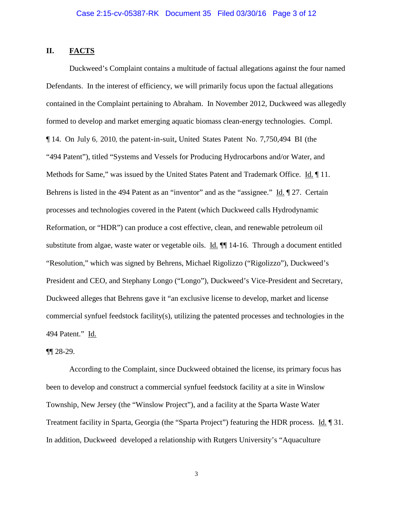# **II. FACTS**

Duckweed's Complaint contains a multitude of factual allegations against the four named Defendants. In the interest of efficiency, we will primarily focus upon the factual allegations contained in the Complaint pertaining to Abraham. In November 2012, Duckweed was allegedly formed to develop and market emerging aquatic biomass clean-energy technologies. Compl. ¶ 14. On July 6, 2010, the patent-in-suit,United States Patent No. 7,750,494 BI (the "494 Patent"), titled "Systems and Vessels for Producing Hydrocarbons and/or Water, and Methods for Same," was issued by the United States Patent and Trademark Office. Id. ¶ 11. Behrens is listed in the 494 Patent as an "inventor" and as the "assignee." Id. ¶ 27. Certain processes and technologies covered in the Patent (which Duckweed calls Hydrodynamic Reformation, or "HDR") can produce a cost effective, clean, and renewable petroleum oil substitute from algae, waste water or vegetable oils. Id.  $\P$  14-16. Through a document entitled "Resolution," which was signed by Behrens, Michael Rigolizzo ("Rigolizzo"), Duckweed's President and CEO, and Stephany Longo ("Longo"), Duckweed's Vice-President and Secretary, Duckweed alleges that Behrens gave it "an exclusive license to develop, market and license commercial synfuel feedstock facility(s), utilizing the patented processes and technologies in the 494 Patent." Id.

## ¶¶ 28-29.

According to the Complaint, since Duckweed obtained the license, its primary focus has been to develop and construct a commercial synfuel feedstock facility at a site in Winslow Township, New Jersey (the "Winslow Project"), and a facility at the Sparta Waste Water Treatment facility in Sparta, Georgia (the "Sparta Project") featuring the HDR process. Id. ¶ 31. In addition, Duckweed developed a relationship with Rutgers University's "Aquaculture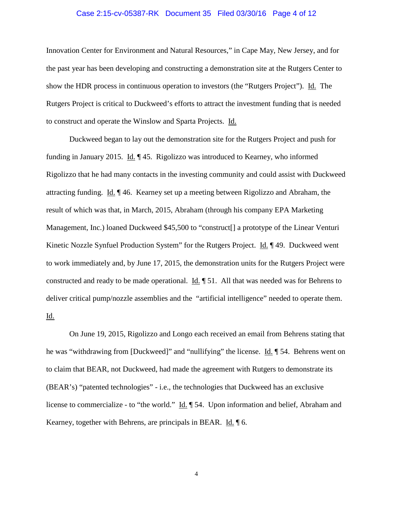### Case 2:15-cv-05387-RK Document 35 Filed 03/30/16 Page 4 of 12

Innovation Center for Environment and Natural Resources," in Cape May, New Jersey, and for the past year has been developing and constructing a demonstration site at the Rutgers Center to show the HDR process in continuous operation to investors (the "Rutgers Project"). Id. The Rutgers Project is critical to Duckweed's efforts to attract the investment funding that is needed to construct and operate the Winslow and Sparta Projects. Id.

Duckweed began to lay out the demonstration site for the Rutgers Project and push for funding in January 2015. Id. ¶ 45. Rigolizzo was introduced to Kearney, who informed Rigolizzo that he had many contacts in the investing community and could assist with Duckweed attracting funding. Id. ¶ 46. Kearney set up a meeting between Rigolizzo and Abraham, the result of which was that, in March, 2015, Abraham (through his company EPA Marketing Management, Inc.) loaned Duckweed \$45,500 to "construct[] a prototype of the Linear Venturi Kinetic Nozzle Synfuel Production System" for the Rutgers Project. Id. 149. Duckweed went to work immediately and, by June 17, 2015, the demonstration units for the Rutgers Project were constructed and ready to be made operational. Id. ¶ 51. All that was needed was for Behrens to deliver critical pump/nozzle assemblies and the "artificial intelligence" needed to operate them. Id.

On June 19, 2015, Rigolizzo and Longo each received an email from Behrens stating that he was "withdrawing from [Duckweed]" and "nullifying" the license. Id. 1 54. Behrens went on to claim that BEAR, not Duckweed, had made the agreement with Rutgers to demonstrate its (BEAR's) "patented technologies" - i.e., the technologies that Duckweed has an exclusive license to commercialize - to "the world." Id. ¶ 54. Upon information and belief, Abraham and Kearney, together with Behrens, are principals in BEAR. Id. ¶ 6.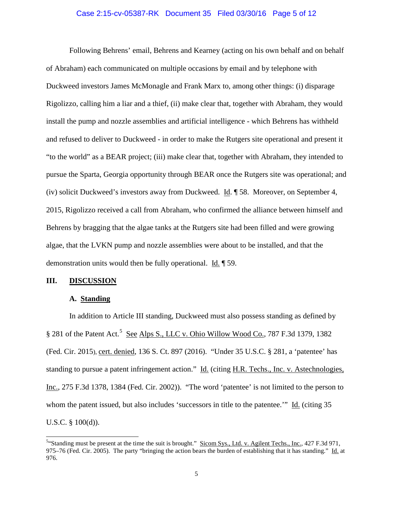### Case 2:15-cv-05387-RK Document 35 Filed 03/30/16 Page 5 of 12

Following Behrens' email, Behrens and Kearney (acting on his own behalf and on behalf of Abraham) each communicated on multiple occasions by email and by telephone with Duckweed investors James McMonagle and Frank Marx to, among other things: (i) disparage Rigolizzo, calling him a liar and a thief, (ii) make clear that, together with Abraham, they would install the pump and nozzle assemblies and artificial intelligence - which Behrens has withheld and refused to deliver to Duckweed - in order to make the Rutgers site operational and present it "to the world" as a BEAR project; (iii) make clear that, together with Abraham, they intended to pursue the Sparta, Georgia opportunity through BEAR once the Rutgers site was operational; and (iv) solicit Duckweed's investors away from Duckweed. Id. ¶ 58. Moreover, on September 4, 2015, Rigolizzo received a call from Abraham, who confirmed the alliance between himself and Behrens by bragging that the algae tanks at the Rutgers site had been filled and were growing algae, that the LVKN pump and nozzle assemblies were about to be installed, and that the demonstration units would then be fully operational.  $\underline{Id}$ .  $\P$  59.

#### **III. DISCUSSION**

# **A. Standing**

In addition to Article III standing, Duckweed must also possess standing as defined by § 281 of the Patent Act.<sup>[5](#page-4-0)</sup> See Alps S., LLC v. Ohio Willow Wood Co., 787 F.3d 1379, 1382 (Fed. Cir. 2015), cert. denied, 136 S. Ct. 897 (2016). "Under 35 U.S.C. § 281, a 'patentee' has standing to pursue a patent infringement action." Id. (citing H.R. Techs., Inc. v. Astechnologies, Inc., 275 F.3d 1378, 1384 (Fed. Cir. 2002)). "The word 'patentee' is not limited to the person to whom the patent issued, but also includes 'successors in title to the patentee.'" Id. (citing 35 U.S.C. § 100(d)).

<span id="page-4-0"></span><sup>&</sup>lt;sup>5.</sup> Standing must be present at the time the suit is brought." Sicom Sys., Ltd. v. Agilent Techs., Inc., 427 F.3d 971, 975–76 (Fed. Cir. 2005). The party "bringing the action bears the burden of establishing that it has standing." Id. at 976.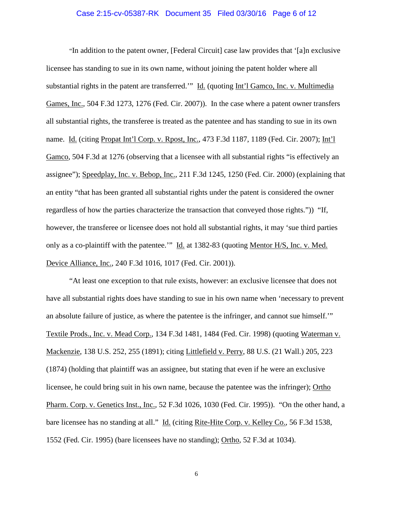### Case 2:15-cv-05387-RK Document 35 Filed 03/30/16 Page 6 of 12

"In addition to the patent owner, [Federal Circuit] case law provides that '[a]n exclusive licensee has standing to sue in its own name, without joining the patent holder where all substantial rights in the patent are transferred.'" Id. (quoting Int'l Gamco, Inc. v. Multimedia Games, Inc., 504 F.3d 1273, 1276 (Fed. Cir. 2007)). In the case where a patent owner transfers all substantial rights, the transferee is treated as the patentee and has standing to sue in its own name. Id. (citing Propat Int'l Corp. v. Rpost, Inc., 473 F.3d 1187, 1189 (Fed. Cir. 2007); Int'l Gamco, 504 F.3d at 1276 (observing that a licensee with all substantial rights "is effectively an assignee"); Speedplay, Inc. v. Bebop, Inc., 211 F.3d 1245, 1250 (Fed. Cir. 2000) (explaining that an entity "that has been granted all substantial rights under the patent is considered the owner regardless of how the parties characterize the transaction that conveyed those rights.")) "If, however, the transferee or licensee does not hold all substantial rights, it may 'sue third parties only as a co-plaintiff with the patentee.'" Id. at 1382-83 (quoting Mentor H/S, Inc. v. Med. Device Alliance, Inc., 240 F.3d 1016, 1017 (Fed. Cir. 2001)).

"At least one exception to that rule exists, however: an exclusive licensee that does not have all substantial rights does have standing to sue in his own name when 'necessary to prevent an absolute failure of justice, as where the patentee is the infringer, and cannot sue himself.'" Textile Prods., Inc. v. Mead Corp., 134 F.3d 1481, 1484 (Fed. Cir. 1998) (quoting Waterman v. Mackenzie, 138 U.S. 252, 255 (1891); citing Littlefield v. Perry, 88 U.S. (21 Wall.) 205, 223 (1874) (holding that plaintiff was an assignee, but stating that even if he were an exclusive licensee, he could bring suit in his own name, because the patentee was the infringer); Ortho Pharm. Corp. v. Genetics Inst., Inc., 52 F.3d 1026, 1030 (Fed. Cir. 1995)). "On the other hand, a bare licensee has no standing at all." Id. (citing Rite-Hite Corp. v. Kelley Co., 56 F.3d 1538, 1552 (Fed. Cir. 1995) (bare licensees have no standing); Ortho, 52 F.3d at 1034).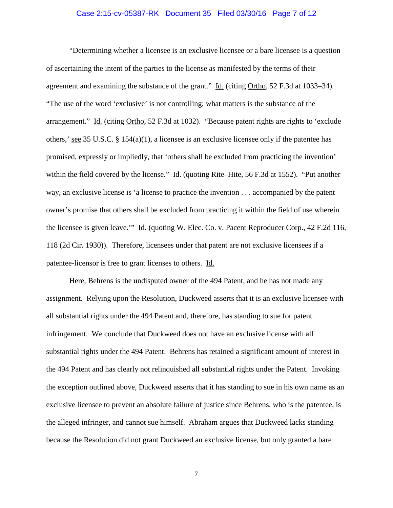### Case 2:15-cv-05387-RK Document 35 Filed 03/30/16 Page 7 of 12

"Determining whether a licensee is an exclusive licensee or a bare licensee is a question of ascertaining the intent of the parties to the license as manifested by the terms of their agreement and examining the substance of the grant." Id. (citing Ortho, 52 F.3d at 1033–34). "The use of the word 'exclusive' is not controlling; what matters is the substance of the arrangement." Id. (citing Ortho, 52 F.3d at 1032). "Because patent rights are rights to 'exclude others,' see 35 U.S.C. § 154(a)(1), a licensee is an exclusive licensee only if the patentee has promised, expressly or impliedly, that 'others shall be excluded from practicing the invention' within the field covered by the license." Id. (quoting Rite–Hite, 56 F.3d at 1552). "Put another way, an exclusive license is 'a license to practice the invention . . . accompanied by the patent owner's promise that others shall be excluded from practicing it within the field of use wherein the licensee is given leave.'" Id. (quoting W. Elec. Co. v. Pacent Reproducer Corp., 42 F.2d 116, 118 (2d Cir. 1930)). Therefore, licensees under that patent are not exclusive licensees if a patentee-licensor is free to grant licenses to others. Id.

Here, Behrens is the undisputed owner of the 494 Patent, and he has not made any assignment. Relying upon the Resolution, Duckweed asserts that it is an exclusive licensee with all substantial rights under the 494 Patent and, therefore, has standing to sue for patent infringement. We conclude that Duckweed does not have an exclusive license with all substantial rights under the 494 Patent. Behrens has retained a significant amount of interest in the 494 Patent and has clearly not relinquished all substantial rights under the Patent. Invoking the exception outlined above, Duckweed asserts that it has standing to sue in his own name as an exclusive licensee to prevent an absolute failure of justice since Behrens, who is the patentee, is the alleged infringer, and cannot sue himself. Abraham argues that Duckweed lacks standing because the Resolution did not grant Duckweed an exclusive license, but only granted a bare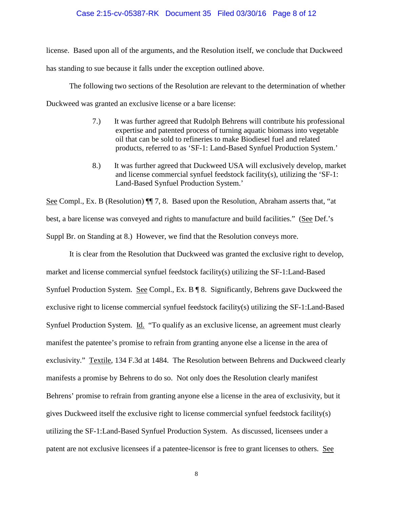# Case 2:15-cv-05387-RK Document 35 Filed 03/30/16 Page 8 of 12

license. Based upon all of the arguments, and the Resolution itself, we conclude that Duckweed has standing to sue because it falls under the exception outlined above.

The following two sections of the Resolution are relevant to the determination of whether Duckweed was granted an exclusive license or a bare license:

- 7.) It was further agreed that Rudolph Behrens will contribute his professional expertise and patented process of turning aquatic biomass into vegetable oil that can be sold to refineries to make Biodiesel fuel and related products, referred to as 'SF-1: Land-Based Synfuel Production System.'
- 8.) It was further agreed that Duckweed USA will exclusively develop, market and license commercial synfuel feedstock facility(s), utilizing the 'SF-1: Land-Based Synfuel Production System.'

See Compl., Ex. B (Resolution)  $\P$  7, 8. Based upon the Resolution, Abraham asserts that, "at best, a bare license was conveyed and rights to manufacture and build facilities." (See Def.'s Suppl Br. on Standing at 8.) However, we find that the Resolution conveys more.

It is clear from the Resolution that Duckweed was granted the exclusive right to develop, market and license commercial synfuel feedstock facility(s) utilizing the SF-1:Land-Based Synfuel Production System. See Compl., Ex. B ¶ 8. Significantly, Behrens gave Duckweed the exclusive right to license commercial synfuel feedstock facility(s) utilizing the SF-1:Land-Based Synfuel Production System. Id. "To qualify as an exclusive license, an agreement must clearly manifest the patentee's promise to refrain from granting anyone else a license in the area of exclusivity." Textile, 134 F.3d at 1484. The Resolution between Behrens and Duckweed clearly manifests a promise by Behrens to do so. Not only does the Resolution clearly manifest Behrens' promise to refrain from granting anyone else a license in the area of exclusivity, but it gives Duckweed itself the exclusive right to license commercial synfuel feedstock facility(s) utilizing the SF-1:Land-Based Synfuel Production System. As discussed, licensees under a patent are not exclusive licensees if a patentee-licensor is free to grant licenses to others. See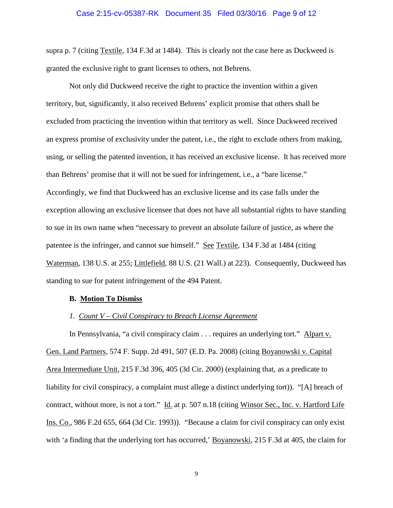### Case 2:15-cv-05387-RK Document 35 Filed 03/30/16 Page 9 of 12

supra p. 7 (citing Textile, 134 F.3d at 1484). This is clearly not the case here as Duckweed is granted the exclusive right to grant licenses to others, not Behrens.

Not only did Duckweed receive the right to practice the invention within a given territory, but, significantly, it also received Behrens' explicit promise that others shall be excluded from practicing the invention within that territory as well. Since Duckweed received an express promise of exclusivity under the patent, i.e., the right to exclude others from making, using, or selling the patented invention, it has received an exclusive license. It has received more than Behrens' promise that it will not be sued for infringement, i.e., a "bare license." Accordingly, we find that Duckweed has an exclusive license and its case falls under the exception allowing an exclusive licensee that does not have all substantial rights to have standing to sue in its own name when "necessary to prevent an absolute failure of justice, as where the patentee is the infringer, and cannot sue himself." See Textile, 134 F.3d at 1484 (citing Waterman, 138 U.S. at 255; Littlefield*,* 88 U.S. (21 Wall.) at 223). Consequently, Duckweed has standing to sue for patent infringement of the 494 Patent.

#### **B. Motion To Dismiss**

### *1. Count V – Civil Conspiracy to Breach License Agreement*

In Pennsylvania, "a civil conspiracy claim . . . requires an underlying tort." Alpart v. Gen. Land Partners, 574 F. Supp. 2d 491, 507 (E.D. Pa. 2008) (citing Boyanowski v. Capital Area Intermediate Unit, 215 F.3d 396, 405 (3d Cir. 2000) (explaining that, as a predicate to liability for civil conspiracy, a complaint must allege a distinct underlying tort)). "[A] breach of contract, without more, is not a tort." Id. at p. 507 n.18 (citing Winsor Sec., Inc. v. Hartford Life Ins. Co., 986 F.2d 655, 664 (3d Cir. 1993)). "Because a claim for civil conspiracy can only exist with 'a finding that the underlying tort has occurred,' Boyanowski, 215 F.3d at 405, the claim for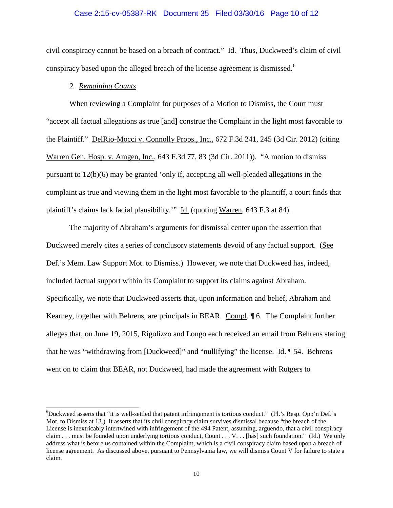### Case 2:15-cv-05387-RK Document 35 Filed 03/30/16 Page 10 of 12

civil conspiracy cannot be based on a breach of contract." Id. Thus, Duckweed's claim of civil conspiracy based upon the alleged breach of the license agreement is dismissed.<sup>[6](#page-9-0)</sup>

# *2. Remaining Counts*

When reviewing a Complaint for purposes of a Motion to Dismiss, the Court must "accept all factual allegations as true [and] construe the Complaint in the light most favorable to the Plaintiff." DelRio-Mocci v. Connolly Props., Inc., 672 F.3d 241, 245 (3d Cir. 2012) (citing Warren Gen. Hosp. v. Amgen, Inc., 643 F.3d 77, 83 (3d Cir. 2011)). "A motion to dismiss pursuant to 12(b)(6) may be granted 'only if, accepting all well-pleaded allegations in the complaint as true and viewing them in the light most favorable to the plaintiff, a court finds that plaintiff's claims lack facial plausibility.'" Id. (quoting Warren, 643 F.3 at 84).

The majority of Abraham's arguments for dismissal center upon the assertion that Duckweed merely cites a series of conclusory statements devoid of any factual support. (See Def.'s Mem. Law Support Mot. to Dismiss.) However, we note that Duckweed has, indeed, included factual support within its Complaint to support its claims against Abraham. Specifically, we note that Duckweed asserts that, upon information and belief, Abraham and Kearney, together with Behrens, are principals in BEAR. Compl. ¶ 6. The Complaint further alleges that, on June 19, 2015, Rigolizzo and Longo each received an email from Behrens stating that he was "withdrawing from [Duckweed]" and "nullifying" the license.  $\underline{Id}$ .  $\P$  54. Behrens went on to claim that BEAR, not Duckweed, had made the agreement with Rutgers to

<span id="page-9-0"></span> <sup>6</sup> Duckweed asserts that "it is well-settled that patent infringement is tortious conduct." (Pl.'s Resp. Opp'n Def.'s Mot. to Dismiss at 13.) It asserts that its civil conspiracy claim survives dismissal because "the breach of the License is inextricably intertwined with infringement of the 494 Patent, assuming, arguendo, that a civil conspiracy claim . . . must be founded upon underlying tortious conduct, Count . . . V. . . [has] such foundation." (Id.) We only address what is before us contained within the Complaint, which is a civil conspiracy claim based upon a breach of license agreement. As discussed above, pursuant to Pennsylvania law, we will dismiss Count V for failure to state a claim.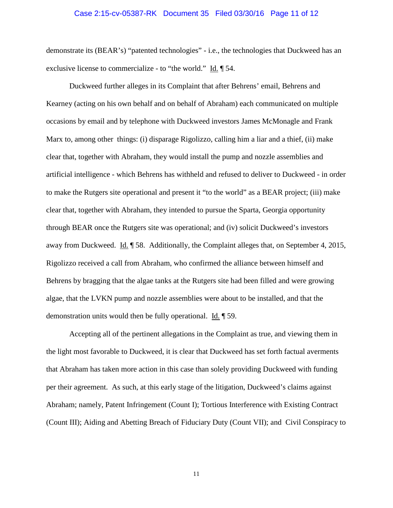### Case 2:15-cv-05387-RK Document 35 Filed 03/30/16 Page 11 of 12

demonstrate its (BEAR's) "patented technologies" - i.e., the technologies that Duckweed has an exclusive license to commercialize - to "the world." Id. ¶ 54.

Duckweed further alleges in its Complaint that after Behrens' email, Behrens and Kearney (acting on his own behalf and on behalf of Abraham) each communicated on multiple occasions by email and by telephone with Duckweed investors James McMonagle and Frank Marx to, among other things: (i) disparage Rigolizzo, calling him a liar and a thief, (ii) make clear that, together with Abraham, they would install the pump and nozzle assemblies and artificial intelligence - which Behrens has withheld and refused to deliver to Duckweed - in order to make the Rutgers site operational and present it "to the world" as a BEAR project; (iii) make clear that, together with Abraham, they intended to pursue the Sparta, Georgia opportunity through BEAR once the Rutgers site was operational; and (iv) solicit Duckweed's investors away from Duckweed. Id. ¶ 58. Additionally, the Complaint alleges that, on September 4, 2015, Rigolizzo received a call from Abraham, who confirmed the alliance between himself and Behrens by bragging that the algae tanks at the Rutgers site had been filled and were growing algae, that the LVKN pump and nozzle assemblies were about to be installed, and that the demonstration units would then be fully operational. Id. ¶ 59.

Accepting all of the pertinent allegations in the Complaint as true, and viewing them in the light most favorable to Duckweed, it is clear that Duckweed has set forth factual averments that Abraham has taken more action in this case than solely providing Duckweed with funding per their agreement. As such, at this early stage of the litigation, Duckweed's claims against Abraham; namely, Patent Infringement (Count I); Tortious Interference with Existing Contract (Count III); Aiding and Abetting Breach of Fiduciary Duty (Count VII); and Civil Conspiracy to